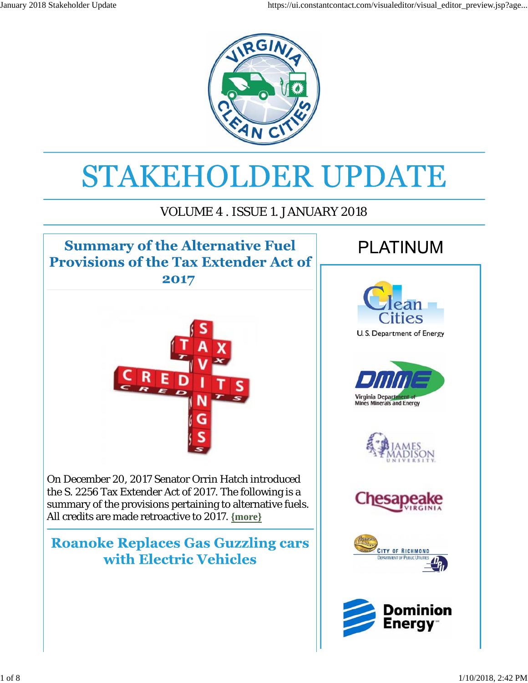

# STAKEHOLDER UPDATE

#### VOLUME 4 . ISSUE 1. JANUARY 2018

## **Summary of the Alternative Fuel Provisions of the Tax Extender Act of**

2017



On December 20, 2017 Senator Orrin Hatch introduced the S. 2256 Tax Extender Act of 2017. The following is a summary of the provisions pertaining to alternative fuels. All credits are made retroactive to 2017. **{more}**

#### **Roanoke Replaces Gas Guzzling cars** with Electric Vehicles

# **PLATINUM**











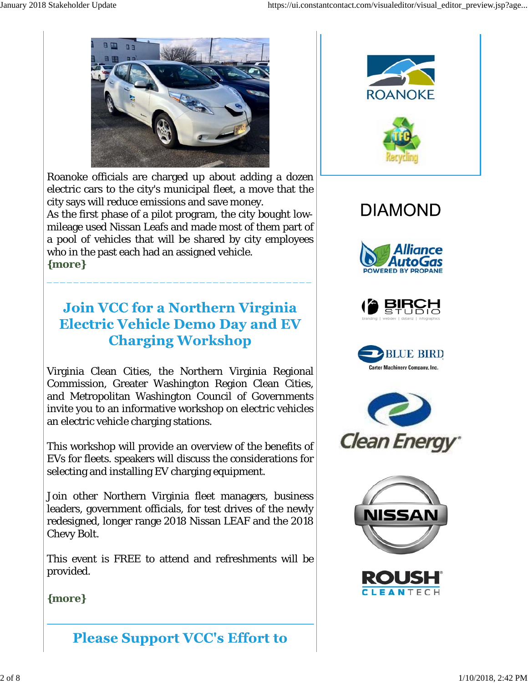

Roanoke officials are charged up about adding a dozen electric cars to the city's municipal fleet, a move that the city says will reduce emissions and save money. As the first phase of a pilot program, the city bought lowmileage used Nissan Leafs and made most of them part of a pool of vehicles that will be shared by city employees who in the past each had an assigned vehicle. **{more}**

### **Join VCC for a Northern Virginia Electric Vehicle Demo Day and EV Charging Workshop**

\_\_\_\_\_\_\_\_\_\_\_\_\_\_\_\_\_\_\_\_\_\_\_\_\_\_\_\_\_\_\_\_\_\_\_\_\_\_\_\_

Virginia Clean Cities, the Northern Virginia Regional Commission, Greater Washington Region Clean Cities, and Metropolitan Washington Council of Governments invite you to an informative workshop on electric vehicles an electric vehicle charging stations.

This workshop will provide an overview of the benefits of EVs for fleets. speakers will discuss the considerations for selecting and installing EV charging equipment.

Join other Northern Virginia fleet managers, business leaders, government officials, for test drives of the newly redesigned, longer range 2018 Nissan LEAF and the 2018 Chevy Bolt.

This event is FREE to attend and refreshments will be provided.

#### **{more}**

## **Please Support VCC's Effort to**



# **DIAMOND**











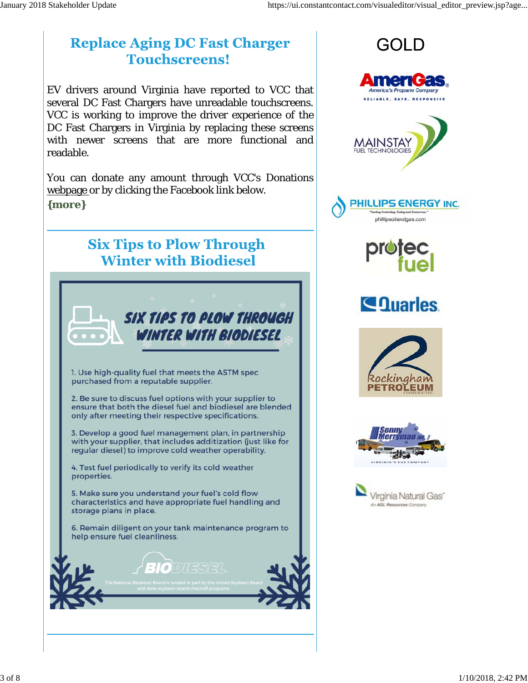#### **Replace Aging DC Fast Charger Touchscreens!**

EV drivers around Virginia have reported to VCC that several DC Fast Chargers have unreadable touchscreens. VCC is working to improve the driver experience of the DC Fast Chargers in Virginia by replacing these screens with newer screens that are more functional and readable.

You can donate any amount through VCC's Donations webpage or by clicking the Facebook link below. **{more}**



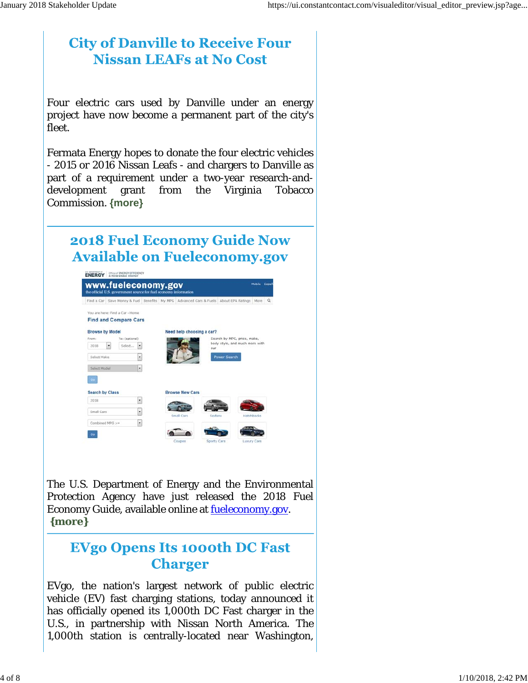#### **City of Danville to Receive Four Nissan LEAFs at No Cost**

Four electric cars used by Danville under an energy project have now become a permanent part of the city's fleet.

Fermata Energy hopes to donate the four electric vehicles - 2015 or 2016 Nissan Leafs - and chargers to Danville as part of a requirement under a two-year research-anddevelopment grant from the Virginia Tobacco Commission. **{more}**

### **2018 Fuel Economy Guide Now Available on Fueleconomy.gov**



The U.S. Department of Energy and the Environmental Protection Agency have just released the 2018 Fuel Economy Guide, available online at *fueleconomy.gov*. **{more}**

#### **EVgo Opens Its 1000th DC Fast Charger**

EVgo, the nation's largest network of public electric vehicle (EV) fast charging stations, today announced it has officially opened its 1,000th DC Fast charger in the U.S., in partnership with Nissan North America. The 1,000th station is centrally-located near Washington,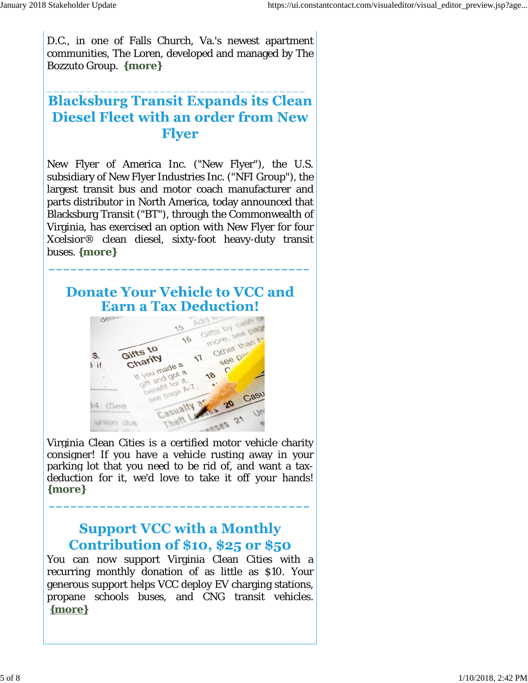D.C., in one of Falls Church, Va.'s newest apartment communities, The Loren, developed and managed by The Bozzuto Group. **{more}**

\_\_\_\_\_\_\_\_\_\_\_\_\_\_\_\_\_\_\_\_\_\_\_\_\_\_\_\_\_\_\_\_\_\_\_\_\_\_\_

### **Blacksburg Transit Expands its Clean Diesel Fleet with an order from New Flver**

New Flyer of America Inc. ("New Flyer"), the U.S. subsidiary of New Flyer Industries Inc. ("NFI Group"), the largest transit bus and motor coach manufacturer and parts distributor in North America, today announced that Blacksburg Transit ("BT"), through the Commonwealth of Virginia, has exercised an option with New Flyer for four Xcelsior® clean diesel, sixty-foot heavy-duty transit buses. **{more}**

#### **Donate Your Vehicle to VCC and Earn a Tax Deduction!**

**\_\_\_\_\_\_\_\_\_\_\_\_\_\_\_\_\_\_\_\_\_\_\_\_\_\_\_\_\_\_\_\_\_\_\_\_**



Virginia Clean Cities is a certified motor vehicle charity consigner! If you have a vehicle rusting away in your parking lot that you need to be rid of, and want a taxdeduction for it, we'd love to take it off your hands! **{more}**

**\_\_\_\_\_\_\_\_\_\_\_\_\_\_\_\_\_\_\_\_\_\_\_\_\_\_\_\_\_\_\_\_\_\_\_\_**

#### **Support VCC with a Monthly** Contribution of  $$10, $25$  or  $$50$

You can now support Virginia Clean Cities with a recurring monthly donation of as little as \$10. Your generous support helps VCC deploy EV charging stations, propane schools buses, and CNG transit vehicles. **{more}**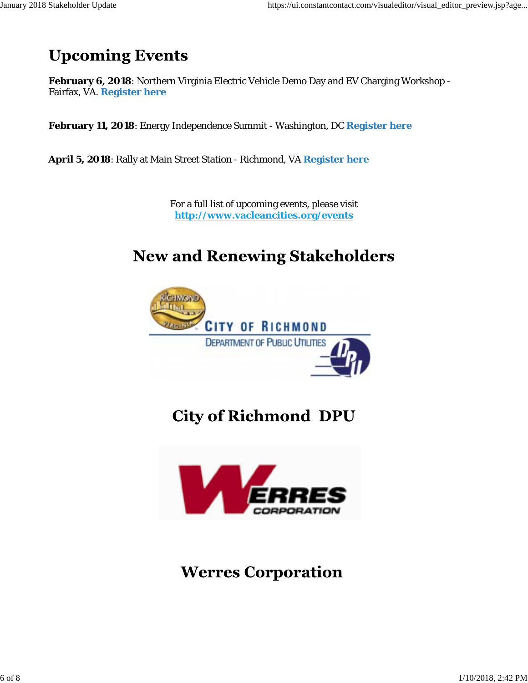## **Upcoming Events**

**February 6, 2018**: Northern Virginia Electric Vehicle Demo Day and EV Charging Workshop - Fairfax, VA. **Register here**

**February 11, 2018**: Energy Independence Summit - Washington, DC **Register here**

**April 5, 2018**: Rally at Main Street Station - Richmond, VA **Register here**

For a full list of upcoming events, please visit **http://www.vacleancities.org/events**

## **New and Renewing Stakeholders**



**City of Richmond DPU** 



**Werres Corporation**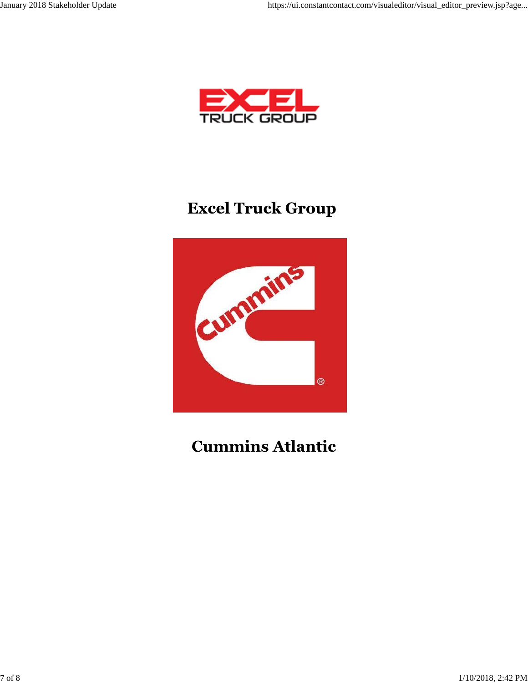

## **Excel Truck Group**



## **Cummins Atlantic**